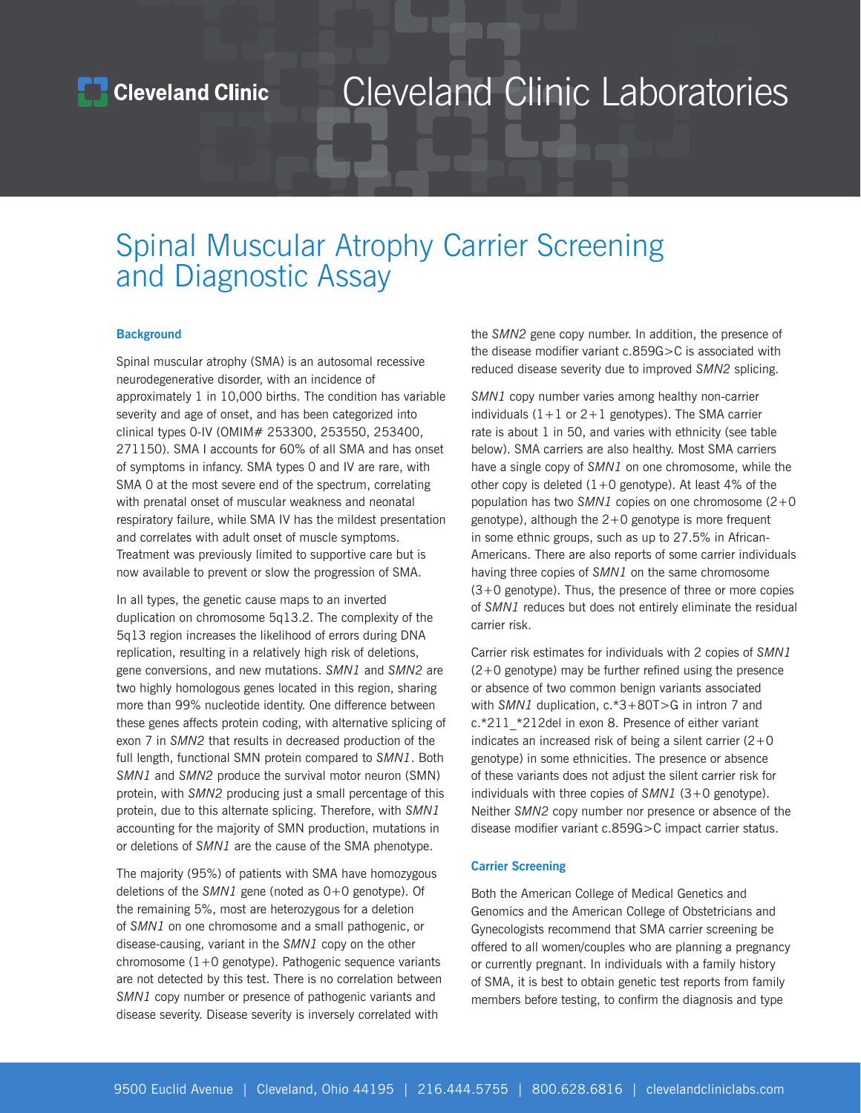## Cleveland Clinic Laboratories

## Spinal Muscular Atrophy Carrier Screening and Diagnostic Assay

### **Background**

Spinal muscular atrophy (SMA) is an autosomal recessive neurodegenerative disorder, with an incidence of approximately 1 in 10,000 births. The condition has variable severity and age of onset, and has been categorized into clinical types 0-IV (OMIM# 253300, 253550, 253400, 271150). SMA I accounts for 60% of all SMA and has onset of symptoms in infancy. SMA types 0 and IV are rare, with SMA 0 at the most severe end of the spectrum, correlating with prenatal onset of muscular weakness and neonatal respiratory failure, while SMA IV has the mildest presentation and correlates with adult onset of muscle symptoms. Treatment was previously limited to supportive care but is now available to prevent or slow the progression of SMA.

In all types, the genetic cause maps to an inverted duplication on chromosome 5q13.2. The complexity of the 5q13 region increases the likelihood of errors during DNA replication, resulting in a relatively high risk of deletions, gene conversions, and new mutations. *SMN1* and *SMN2* are two highly homologous genes located in this region, sharing more than 99% nucleotide identity. One difference between these genes affects protein coding, with alternative splicing of exon 7 in *SMN2* that results in decreased production of the full length, functional SMN protein compared to *SMN1*. Both *SMN1* and *SMN2* produce the survival motor neuron (SMN) protein, with *SMN2* producing just a small percentage of this protein, due to this alternate splicing. Therefore, with *SMN1* accounting for the majority of SMN production, mutations in or deletions of *SMN1* are the cause of the SMA phenotype.

The majority (95%) of patients with SMA have homozygous deletions of the *SMN1* gene (noted as 0+0 genotype). Of the remaining 5%, most are heterozygous for a deletion of *SMN1* on one chromosome and a small pathogenic, or disease-causing, variant in the *SMN1* copy on the other chromosome  $(1+0)$  genotype). Pathogenic sequence variants are not detected by this test. There is no correlation between *SMN1* copy number or presence of pathogenic variants and disease severity. Disease severity is inversely correlated with

the *SMN2* gene copy number. In addition, the presence of the disease modifier variant c.859G>C is associated with reduced disease severity due to improved *SMN2* splicing.

*SMN1* copy number varies among healthy non-carrier individuals  $(1+1)$  or  $2+1$  genotypes). The SMA carrier rate is about 1 in 50, and varies with ethnicity (see table below). SMA carriers are also healthy. Most SMA carriers have a single copy of *SMN1* on one chromosome, while the other copy is deleted  $(1+0)$  genotype). At least 4% of the population has two *SMN1* copies on one chromosome (2+0 genotype), although the  $2+0$  genotype is more frequent in some ethnic groups, such as up to 27.5% in African-Americans. There are also reports of some carrier individuals having three copies of *SMN1* on the same chromosome  $(3+0)$  genotype). Thus, the presence of three or more copies of *SMN1* reduces but does not entirely eliminate the residual carrier risk.

Carrier risk estimates for individuals with 2 copies of *SMN1* (2+0 genotype) may be further refined using the presence or absence of two common benign variants associated with *SMN1* duplication, c.\*3+80T>G in intron 7 and c.\*211 \*212del in exon 8. Presence of either variant indicates an increased risk of being a silent carrier  $(2+0)$ genotype) in some ethnicities. The presence or absence of these variants does not adjust the silent carrier risk for individuals with three copies of *SMN1* (3+0 genotype). Neither *SMN2* copy number nor presence or absence of the disease modifier variant c.859G>C impact carrier status.

### **Carrier Screening**

Both the American College of Medical Genetics and Genomics and the American College of Obstetricians and Gynecologists recommend that SMA carrier screening be offered to all women/couples who are planning a pregnancy or currently pregnant. In individuals with a family history of SMA, it is best to obtain genetic test reports from family members before testing, to confirm the diagnosis and type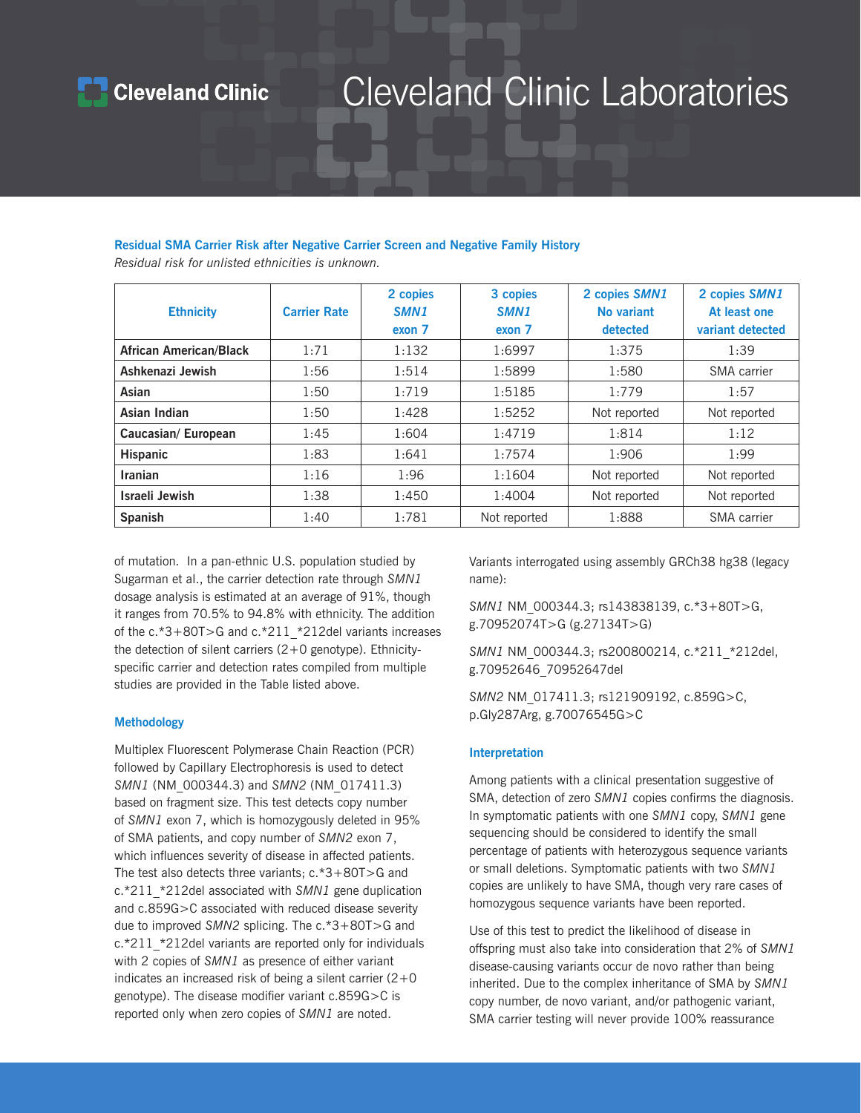### **Cleveland Clinic**

## Cleveland Clinic Laboratories

### **Residual SMA Carrier Risk after Negative Carrier Screen and Negative Family History**

*Residual risk for unlisted ethnicities is unknown.*

| <b>Ethnicity</b>              | <b>Carrier Rate</b> | 2 copies<br>SMN <sub>1</sub><br>exon 7 | 3 copies<br>SMN <sub>1</sub><br>exon 7 | 2 copies SMN1<br>No variant<br>detected | 2 copies SMN1<br>At least one<br>variant detected |
|-------------------------------|---------------------|----------------------------------------|----------------------------------------|-----------------------------------------|---------------------------------------------------|
| <b>African American/Black</b> | 1:71                | 1:132                                  | 1:6997                                 | 1:375                                   | 1:39                                              |
| Ashkenazi Jewish              | 1:56                | 1:514                                  | 1:5899                                 | 1:580                                   | SMA carrier                                       |
| Asian                         | 1:50                | 1:719                                  | 1:5185                                 | 1:779                                   | 1:57                                              |
| Asian Indian                  | 1:50                | 1:428                                  | 1:5252                                 | Not reported                            | Not reported                                      |
| Caucasian/ European           | 1:45                | 1:604                                  | 1:4719                                 | 1:814                                   | 1:12                                              |
| <b>Hispanic</b>               | 1:83                | 1:641                                  | 1:7574                                 | 1:906                                   | 1:99                                              |
| <b>Iranian</b>                | 1:16                | 1:96                                   | 1:1604                                 | Not reported                            | Not reported                                      |
| Israeli Jewish                | 1:38                | 1:450                                  | 1:4004                                 | Not reported                            | Not reported                                      |
| <b>Spanish</b>                | 1:40                | 1:781                                  | Not reported                           | 1:888                                   | SMA carrier                                       |

of mutation. In a pan-ethnic U.S. population studied by Sugarman et al., the carrier detection rate through *SMN1* dosage analysis is estimated at an average of 91%, though it ranges from 70.5% to 94.8% with ethnicity. The addition of the c.\*3+80T>G and c.\*211\_\*212del variants increases the detection of silent carriers (2+0 genotype). Ethnicityspecific carrier and detection rates compiled from multiple studies are provided in the Table listed above.

### **Methodology**

Multiplex Fluorescent Polymerase Chain Reaction (PCR) followed by Capillary Electrophoresis is used to detect *SMN1* (NM\_000344.3) and *SMN2* (NM\_017411.3) based on fragment size. This test detects copy number of *SMN1* exon 7, which is homozygously deleted in 95% of SMA patients, and copy number of *SMN2* exon 7, which influences severity of disease in affected patients. The test also detects three variants; c.\*3+80T>G and c.\*211\_\*212del associated with *SMN1* gene duplication and c.859G>C associated with reduced disease severity due to improved *SMN2* splicing. The c.\*3+80T>G and c.\*211 \*212del variants are reported only for individuals with 2 copies of *SMN1* as presence of either variant indicates an increased risk of being a silent carrier  $(2+0)$ genotype). The disease modifier variant c.859G>C is reported only when zero copies of *SMN1* are noted.

Variants interrogated using assembly GRCh38 hg38 (legacy name):

*SMN1* NM\_000344.3; rs143838139, c.\*3+80T>G, g.70952074T>G (g.27134T>G)

*SMN1* NM\_000344.3; rs200800214, c.\*211\_\*212del, g.70952646\_70952647del

*SMN2* NM\_017411.3; rs121909192, c.859G>C, p.Gly287Arg, g.70076545G>C

### **Interpretation**

Among patients with a clinical presentation suggestive of SMA, detection of zero *SMN1* copies confirms the diagnosis. In symptomatic patients with one *SMN1* copy, *SMN1* gene sequencing should be considered to identify the small percentage of patients with heterozygous sequence variants or small deletions. Symptomatic patients with two *SMN1* copies are unlikely to have SMA, though very rare cases of homozygous sequence variants have been reported.

Use of this test to predict the likelihood of disease in offspring must also take into consideration that 2% of *SMN1* disease-causing variants occur de novo rather than being inherited. Due to the complex inheritance of SMA by *SMN1* copy number, de novo variant, and/or pathogenic variant, SMA carrier testing will never provide 100% reassurance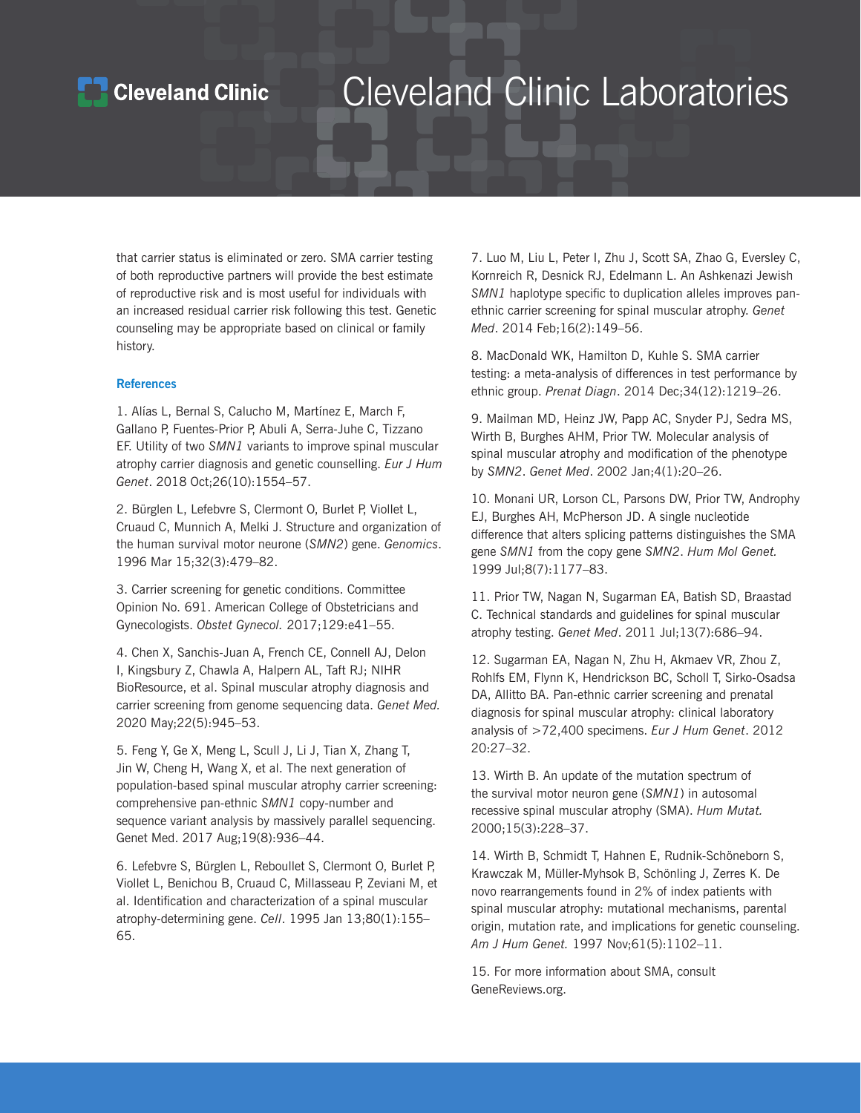### **Cleveland Clinic**

## Cleveland Clinic Laboratories

that carrier status is eliminated or zero. SMA carrier testing of both reproductive partners will provide the best estimate of reproductive risk and is most useful for individuals with an increased residual carrier risk following this test. Genetic counseling may be appropriate based on clinical or family history.

### **References**

1. Alías L, Bernal S, Calucho M, Martínez E, March F, Gallano P, Fuentes-Prior P, Abuli A, Serra-Juhe C, Tizzano EF. Utility of two *SMN1* variants to improve spinal muscular atrophy carrier diagnosis and genetic counselling. *Eur J Hum Genet*. 2018 Oct;26(10):1554–57.

2. Bürglen L, Lefebvre S, Clermont O, Burlet P, Viollet L, Cruaud C, Munnich A, Melki J. Structure and organization of the human survival motor neurone (*SMN2*) gene. *Genomics*. 1996 Mar 15;32(3):479–82.

3. Carrier screening for genetic conditions. Committee Opinion No. 691. American College of Obstetricians and Gynecologists. *Obstet Gynecol.* 2017;129:e41–55.

4. Chen X, Sanchis-Juan A, French CE, Connell AJ, Delon I, Kingsbury Z, Chawla A, Halpern AL, Taft RJ; NIHR BioResource, et al. Spinal muscular atrophy diagnosis and carrier screening from genome sequencing data. *Genet Med.*  2020 May;22(5):945–53.

5. Feng Y, Ge X, Meng L, Scull J, Li J, Tian X, Zhang T, Jin W, Cheng H, Wang X, et al. The next generation of population-based spinal muscular atrophy carrier screening: comprehensive pan-ethnic *SMN1* copy-number and sequence variant analysis by massively parallel sequencing. Genet Med. 2017 Aug;19(8):936–44.

6. Lefebvre S, Bürglen L, Reboullet S, Clermont O, Burlet P, Viollet L, Benichou B, Cruaud C, Millasseau P, Zeviani M, et al. Identification and characterization of a spinal muscular atrophy-determining gene. *Cell*. 1995 Jan 13;80(1):155– 65.

7. Luo M, Liu L, Peter I, Zhu J, Scott SA, Zhao G, Eversley C, Kornreich R, Desnick RJ, Edelmann L. An Ashkenazi Jewish *SMN1* haplotype specific to duplication alleles improves panethnic carrier screening for spinal muscular atrophy. *Genet Med*. 2014 Feb;16(2):149–56.

8. MacDonald WK, Hamilton D, Kuhle S. SMA carrier testing: a meta-analysis of differences in test performance by ethnic group. *Prenat Diagn*. 2014 Dec;34(12):1219–26.

9. Mailman MD, Heinz JW, Papp AC, Snyder PJ, Sedra MS, Wirth B, Burghes AHM, Prior TW. Molecular analysis of spinal muscular atrophy and modification of the phenotype by *SMN2*. *Genet Med*. 2002 Jan;4(1):20–26.

10. Monani UR, Lorson CL, Parsons DW, Prior TW, Androphy EJ, Burghes AH, McPherson JD. A single nucleotide difference that alters splicing patterns distinguishes the SMA gene *SMN1* from the copy gene *SMN2*. *Hum Mol Genet.* 1999 Jul;8(7):1177–83.

11. Prior TW, Nagan N, Sugarman EA, Batish SD, Braastad C. Technical standards and guidelines for spinal muscular atrophy testing. *Genet Med*. 2011 Jul;13(7):686–94.

12. Sugarman EA, Nagan N, Zhu H, Akmaev VR, Zhou Z, Rohlfs EM, Flynn K, Hendrickson BC, Scholl T, Sirko-Osadsa DA, Allitto BA. Pan-ethnic carrier screening and prenatal diagnosis for spinal muscular atrophy: clinical laboratory analysis of >72,400 specimens. *Eur J Hum Genet*. 2012 20:27–32.

13. Wirth B. An update of the mutation spectrum of the survival motor neuron gene (*SMN1*) in autosomal recessive spinal muscular atrophy (SMA). *Hum Mutat.* 2000;15(3):228–37.

14. Wirth B, Schmidt T, Hahnen E, Rudnik-Schöneborn S, Krawczak M, Müller-Myhsok B, Schönling J, Zerres K. De novo rearrangements found in 2% of index patients with spinal muscular atrophy: mutational mechanisms, parental origin, mutation rate, and implications for genetic counseling. *Am J Hum Genet.* 1997 Nov;61(5):1102–11.

15. For more information about SMA, consult GeneReviews.org.